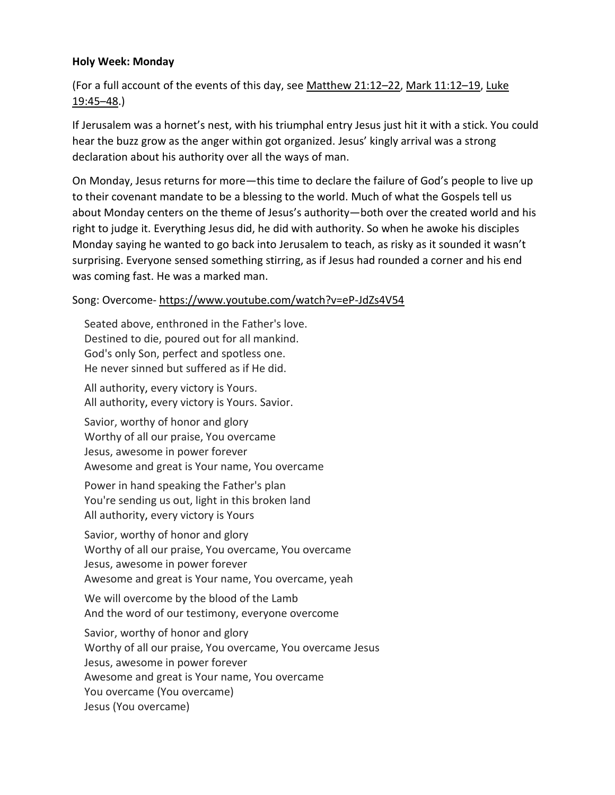## **Holy Week: Monday**

(For a full account of the events of this day, see [Matthew 21:12](https://www.esv.org/Matthew%2021%3A12%E2%80%9322/)–22, [Mark 11:12](https://www.esv.org/Mark%2011%3A12%E2%80%9319/)–19, [Luke](https://www.esv.org/Luke%2019%3A45%E2%80%9348/)  [19:45](https://www.esv.org/Luke%2019%3A45%E2%80%9348/)–48.)

If Jerusalem was a hornet's nest, with his triumphal entry Jesus just hit it with a stick. You could hear the buzz grow as the anger within got organized. Jesus' kingly arrival was a strong declaration about his authority over all the ways of man.

On Monday, Jesus returns for more—this time to declare the failure of God's people to live up to their covenant mandate to be a blessing to the world. Much of what the Gospels tell us about Monday centers on the theme of Jesus's authority—both over the created world and his right to judge it. Everything Jesus did, he did with authority. So when he awoke his disciples Monday saying he wanted to go back into Jerusalem to teach, as risky as it sounded it wasn't surprising. Everyone sensed something stirring, as if Jesus had rounded a corner and his end was coming fast. He was a marked man.

## Song: Overcome- <https://www.youtube.com/watch?v=eP-JdZs4V54>

Seated above, enthroned in the Father's love. Destined to die, poured out for all mankind. God's only Son, perfect and spotless one. He never sinned but suffered as if He did.

All authority, every victory is Yours. All authority, every victory is Yours. Savior.

Savior, worthy of honor and glory Worthy of all our praise, You overcame Jesus, awesome in power forever Awesome and great is Your name, You overcame

Power in hand speaking the Father's plan You're sending us out, light in this broken land All authority, every victory is Yours

Savior, worthy of honor and glory Worthy of all our praise, You overcame, You overcame Jesus, awesome in power forever Awesome and great is Your name, You overcame, yeah

We will overcome by the blood of the Lamb And the word of our testimony, everyone overcome

Savior, worthy of honor and glory Worthy of all our praise, You overcame, You overcame Jesus Jesus, awesome in power forever Awesome and great is Your name, You overcame You overcame (You overcame) Jesus (You overcame)